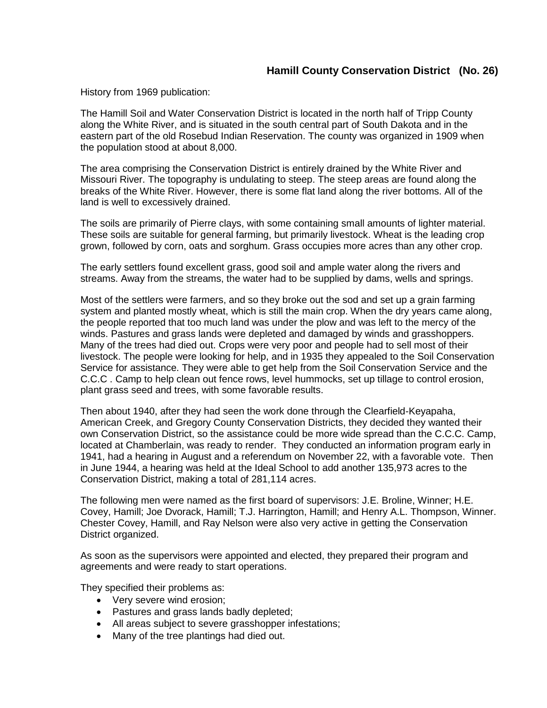## **Hamill County Conservation District (No. 26)**

History from 1969 publication:

The Hamill Soil and Water Conservation District is located in the north half of Tripp County along the White River, and is situated in the south central part of South Dakota and in the eastern part of the old Rosebud Indian Reservation. The county was organized in 1909 when the population stood at about 8,000.

The area comprising the Conservation District is entirely drained by the White River and Missouri River. The topography is undulating to steep. The steep areas are found along the breaks of the White River. However, there is some flat land along the river bottoms. All of the land is well to excessively drained.

The soils are primarily of Pierre clays, with some containing small amounts of lighter material. These soils are suitable for general farming, but primarily livestock. Wheat is the leading crop grown, followed by corn, oats and sorghum. Grass occupies more acres than any other crop.

The early settlers found excellent grass, good soil and ample water along the rivers and streams. Away from the streams, the water had to be supplied by dams, wells and springs.

Most of the settlers were farmers, and so they broke out the sod and set up a grain farming system and planted mostly wheat, which is still the main crop. When the dry years came along, the people reported that too much land was under the plow and was left to the mercy of the winds. Pastures and grass lands were depleted and damaged by winds and grasshoppers. Many of the trees had died out. Crops were very poor and people had to sell most of their livestock. The people were looking for help, and in 1935 they appealed to the Soil Conservation Service for assistance. They were able to get help from the Soil Conservation Service and the C.C.C . Camp to help clean out fence rows, level hummocks, set up tillage to control erosion, plant grass seed and trees, with some favorable results.

Then about 1940, after they had seen the work done through the Clearfield-Keyapaha, American Creek, and Gregory County Conservation Districts, they decided they wanted their own Conservation District, so the assistance could be more wide spread than the C.C.C. Camp, located at Chamberlain, was ready to render. They conducted an information program early in 1941, had a hearing in August and a referendum on November 22, with a favorable vote. Then in June 1944, a hearing was held at the Ideal School to add another 135,973 acres to the Conservation District, making a total of 281,114 acres.

The following men were named as the first board of supervisors: J.E. Broline, Winner; H.E. Covey, Hamill; Joe Dvorack, Hamill; T.J. Harrington, Hamill; and Henry A.L. Thompson, Winner. Chester Covey, Hamill, and Ray Nelson were also very active in getting the Conservation District organized.

As soon as the supervisors were appointed and elected, they prepared their program and agreements and were ready to start operations.

They specified their problems as:

- Very severe wind erosion;
- Pastures and grass lands badly depleted;
- All areas subject to severe grasshopper infestations;
- Many of the tree plantings had died out.